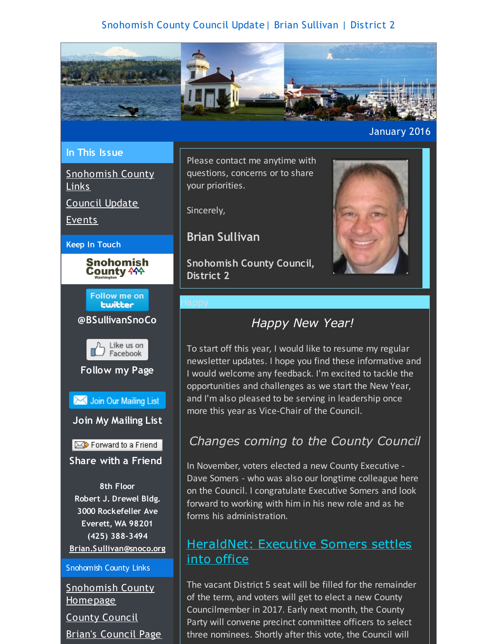#### Snohomish County Council Update| Brian Sullivan | District 2

<span id="page-0-0"></span>

January 2016

#### **In This Issue**

[Snohomish](#page-0-0) County Links

[Council](#page-0-0) Update

[Events](#page-0-0)

**Keep In Touch**



Follow me on **Ewitter** 





**Follow my Page**

Join Our Mailing List

**Join My Mailing List**

 $\boxtimes$  Forward to a Friend **Share with a Friend**

**8th Floor Robert J. Drewel Bldg. 3000 Rockefeller Ave Everett, WA 98201**

**(425) 388-3494 [Brian.Sullivan@snoco.org](mailto:Brian.Sullivan@snoco.org)**

Snohomish County Links

[Snohomish](http://r20.rs6.net/tn.jsp?f=0010p0dDXA0TSXmgJCLqu70SZOau5cufAYAXhcMOAfL-fQhBzYllSVKmIwWKfrNi9-Gq0VrVhJ1S99fVnjfKVrFmc7FEV0Aabpw7y7xsGa55SRpNpKYJGqaiBAKMJx7fZ6faniBmioW9aOCm0bTr6YIJl6CxmQD_3lDV4b7I5oj63XKo8x-gcAnw0riJ7_4Nr6Fpkx1RsmqoV-8Jiv1bxX9AckyREKqHzdCquu4CpX3cfGtpzaCoLFFpJMbjyEdWnG5x8yzloKivz5mv4cLiyy8cXMgSU1yrFV6npMgvz8xbJS-yeoUizpwivAExuRAvWYj4Frm4cNnVp4Ftlhu9YHvBQ==&c=&ch=) County Homepage County [Council](http://r20.rs6.net/tn.jsp?f=0010p0dDXA0TSXmgJCLqu70SZOau5cufAYAXhcMOAfL-fQhBzYllSVKmNp6Gsnig7cZJOd0gT-2r7d3BCPzntjZwMWiPH8LV_rtvgbotUSu5FV0xUPsQjxZj0GzRlyteq0pHPwWli5PHadDhcuEdIlNlf52M7nNQQL31EgI1bAaQBpdy1nfa_TOPFVv9tQTmgUq99vcbAJSPpn2SIjR80d3dF-FqgDAXZ3ImvENdvh-K4HlMht41nMJkWGZ9xD37GISi7GEUWTFcFAMZQ8VfM4LiTTiAzlP0uFDrZPrtkbrGtzZT-eqIWgx9inMmDgo0cylAKX3B4ElWuZhU29I03vJSsILo39XLLoWzKwVaVbQIDxPt5mJ_GMNg2b0grnk4rT2&c=&ch=)

Brian's [Council](http://r20.rs6.net/tn.jsp?f=0010p0dDXA0TSXmgJCLqu70SZOau5cufAYAXhcMOAfL-fQhBzYllSVKmNp6Gsnig7cZaAbwHjoDq2aM0C3XzGmkExyUqHN7lrzq-UD6xsBywbW15A0zb8FvTdv0itf4r0SGl4LxQ_LW8Z07NoZK5dVW_5DMD0bpTiQHhT3jOpC7UHUvH4ldARv4_7tAZmsdtwZkkSdAUa8fWRVs1jzv_79bJTKuJ4riuSgiPTvkkZYIzh5JMFiMYfZ_jYJoG5Z2SrQZI1s6-ZOdyBCEk20OSEOvDq6dxgYxjLFY8NgloxlDpoewGoUAgI0AFEh0cEmSEUIQBRIopQEWQmFtkDvSVx_F--d3U-O25DwqEJb5S4NKv1oTA52ZQDuHo2tUYVQkIHSz&c=&ch=) Page

Please contact me anytime with questions, concerns or to share your priorities.

Sincerely,

**Brian Sullivan**

**Snohomish County Council, District 2**



#### *Happy New Year!*

To start off this year, I would like to resume my regular newsletter updates. I hope you find these informative and I would welcome any feedback. I'm excited to tackle the opportunities and challenges as we start the New Year, and I'm also pleased to be serving in leadership once more this year as Vice-Chair of the Council.

#### *Changes coming to the County Council*

In November, voters elected a new County Executive - Dave Somers - who was also our longtime colleague here on the Council. I congratulate Executive Somers and look forward to working with him in his new role and as he forms his administration.

# [HeraldNet:](http://r20.rs6.net/tn.jsp?f=0010p0dDXA0TSXmgJCLqu70SZOau5cufAYAXhcMOAfL-fQhBzYllSVKmDq6cPjJMObnF8Er_C93tJTNF1i6MeQrf6j3C2b5hFbpS_tl2X34FXHQqIvRHYtgP8kiN9rZS5-EHBiKtK5bDZ6Vrijrgx3tm-Xp8DXECjgMwzwUt3TATl0XtGY_zCn0IbcIXPXyDfFb-_ehOGxZkZpAiY3GQ-FHO1fYhDpzhd1mONckqpco07NRECIodeikidtAznVWujKgZgSvuHMrQ2NLvtxVOPKCKwAnVk85JwL7yl-yJMnJaxEG5d8MavVhwatuxAVScmXjzPeseyh6pePkrS9oOqmrxqJgKh0wThPmCRLjUrFkeof0eFu_9s2ARTZeWIFT1eePEZpvMi-Kj0I=&c=&ch=) Executive Somers settles into office

The vacant District 5 seat will be filled for the remainder of the term, and voters will get to elect a new County Councilmember in 2017. Early next month, the County Party will convene precinct committee officers to select three nominees. Shortly after this vote, the Council will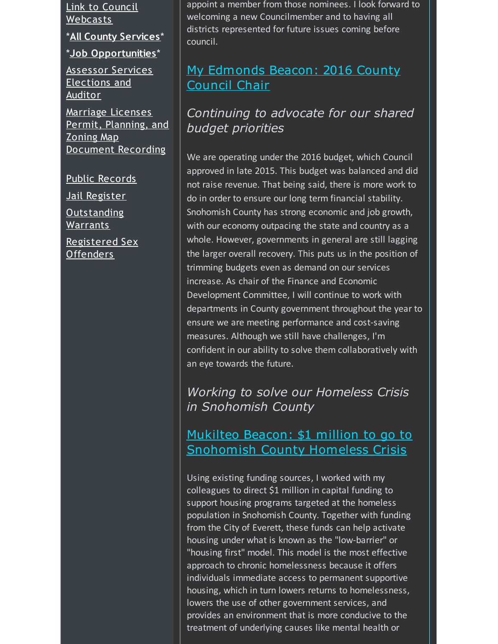Link to Council [Webcasts](http://r20.rs6.net/tn.jsp?f=0010p0dDXA0TSXmgJCLqu70SZOau5cufAYAXhcMOAfL-fQhBzYllSVKmNSvQjFdiNmXrCKuTNmhwkhkslGO886uIwIT1s_CNx30RjmMuitoObsLdkmf0HJk19KfrE8cIAwtDfTtgMurtKtQPsgf6FsXOiDk1N4WaLLhyIKNBYxlm38uhahg---XkUUa6NXh7JoueCY5ETW7eJeeYN7xiHf0ZO2OM1CaQ8GI2qYTVkl2iExxm62oYKwNrtBTLST4RKqxy2Zf1YyWj9_FsG0JGP0vCCsOjYiQehvl8ULum77AZNeOWFq3qtOfQHKp-WoRoT_q7iX1aIOeLvcdHzZAWpq7Vrtq6zZK0xyzXj9_8gbN0vmpi3JBsSGzvJRxOP4Rvb6M4E-ZZjqkH1w=&c=&ch=)

\***All County [Services](http://r20.rs6.net/tn.jsp?f=0010p0dDXA0TSXmgJCLqu70SZOau5cufAYAXhcMOAfL-fQhBzYllSVKmNp6Gsnig7cZgui60ujvKM8s43uouz2KzBXmuB4_ASSfw7QjjyC2OMBBIp0585Su5OIxCGh6Qdpz7tERvkZTsh7uDSuI1XRtvnuNw51NDxBojawPmzxHbzjA5DDwhXl-W5edg5EPtZAmLw53qo515hr2kdqYbhWkQCMPlHVFh47FW9ddD20e7lGh0fiFt1RPZpMNXO5oSrFpqP_dOCoOhY07Mj2d_niV8j8r9Dvfa71EsYggTKHashnlaI5xm-fU7dDJd0hsEhtP5eZKhcK1-mgiRyUOTTJNGTK7_U2tpmhYfhnSNhG0b6rbwN0aHlIXyZjApFxXMkim&c=&ch=)**\*

\***Job [Opportunities](http://r20.rs6.net/tn.jsp?f=0010p0dDXA0TSXmgJCLqu70SZOau5cufAYAXhcMOAfL-fQhBzYllSVKmNp6Gsnig7cZfXSMW6fXH5hAiMm0i6y5cS3YP83aVWCaSkcCrLN65GkxdhjB6dFVUjHeLzCnwbmUD_e0aZCa0qYuQl5sBtI4mpqlOeQtUQ0bByrS_5zdsTYkLWA6PQ0Nk8YnjGgbYiERe-0yT-YzUONkegVNj4acG-o2lyzGlaimebf732xqxkW6ArxvbVGd4VQGNlTGdUibUC2x9ixcUNrDviPCzF1ggQrZVNSe4G0teVevVe3BFSgncn2KzvZlMHhPFGIBV1dtZVTbUyoLaICwIuOvCB4U1-GfPMWwrs48ZNSN7GP8dG4AENC5mgEN25L7uhrWvug-&c=&ch=)**\*

[Assessor](http://r20.rs6.net/tn.jsp?f=0010p0dDXA0TSXmgJCLqu70SZOau5cufAYAXhcMOAfL-fQhBzYllSVKmNp6Gsnig7cZ0WpKsSFcu6tzFYvSb6TFjITRmTHE25_6mH5Qce9INusmhm69yoPa44178XS7xsRyy2n38qDtAGXOA0Z1xIFFK_FuTnsTcuAxo8d-n3_Qk4OeaZl7b3m4f1e56qSOfnn4lEKpEd_0_qUlVODSPv4yLD0YhuzZ_OKma9tdIwZkzkn-z42dXOupscW_yAB40H0yyl17QTVPZUmWc5rC_jI9ngBpfdZ6TJK6INeTEG2LJARyOjht-DqE5o3cdpg5_gJ_4AVxd7HooZTu9-E0ISJjZ95lZCMb6un7ARJd5oQDauA1y4zt1piXyA==&c=&ch=) Services [Elections](http://r20.rs6.net/tn.jsp?f=0010p0dDXA0TSXmgJCLqu70SZOau5cufAYAXhcMOAfL-fQhBzYllSVKmNp6Gsnig7cZcCG9yginkfUgCrwmKm06PWldkudIlNpWphqkOFZ0uSls3mG6bxv43nDvXJB_pf1VGXvqfDJtQO8GYTK3Z3HYXesBVljHnT5EojA_I5Z6PNATRFi07x9jGXJ5pXqEwjFY61ac12JsoRDf75MlDDV5epX_B_Leqgme77mp3Mv3VMo_AtEOvEXmibDBQTmplYYZ9mKaaBL4AS67DiC392lGqqsuIG2Z-Pm-06r-Y4MP3Aue732SqwaqABhHJUEb8898zuCKFxtFD4sBHAp1YEpmF2E9EH0F25YfduCBUkajph-Kpxt-mmWnYQ==&c=&ch=) and Auditor

Marriage [Licenses](http://r20.rs6.net/tn.jsp?f=0010p0dDXA0TSXmgJCLqu70SZOau5cufAYAXhcMOAfL-fQhBzYllSVKmNp6Gsnig7cZR9FS3vnjtrFPlfm0fgXnMBwfVJyoctxBCFMkAhDXjTcBaz-7HwKL0L1KIOg3B81RztHO6efgIHRM8gN6j2V84R_CY50eMEEVaargnjTFUHSyTZh6ZuJek6ZEn006g6KkqX3XXBxyVBBOnRM5Zb5Son6CyGLJvLrvWQe-WGSaPLkVGR9FCJnRS3n72ZBqBfDdT1IkeWzHnXHs42BrZlnkp5DM0_72aP9aZEB7Kvi56UcnAa6H4uclHHCo2K6FiNKVlWM6WFjOXJBcR9zZSqvUjmG8KrIT5lNLTZo-TZVNCcafCz4af1DLjg==&c=&ch=) Permit, [Planning,](http://r20.rs6.net/tn.jsp?f=0010p0dDXA0TSXmgJCLqu70SZOau5cufAYAXhcMOAfL-fQhBzYllSVKmEwkqFKKTP4zt1eacbNvzB5J00PO-FEmmPNWFPvcenLx2NrTxCK1M0SHVsqiD2RyaVLzaBRxFcx-BOnNotVvGE-rpjf8hzMIRRayCZZhqYZs6ifeoPmRM5_7b-3ML2xiJ5se4_GACH0gn4Cbj_qU-O4pULzlm8dnXMRC-VpnA-o-aAAVcLlrzUlTX_azNvP08dsgMw8c5gcaZZ83oKMdSXjjgWP8aGCbcYWgyhs4DisCLmCKT5geFOzxY2LLVTbjNzzzcbQ0dkurtCeg0QpyDdvT6IVGamwww1sKBjrEgOGSq0i_8iLZmeYkuH_Ng57liQ==&c=&ch=) and Zoning Map [Document](http://r20.rs6.net/tn.jsp?f=0010p0dDXA0TSXmgJCLqu70SZOau5cufAYAXhcMOAfL-fQhBzYllSVKmNp6Gsnig7cZbyreFkydx3B263ppDFbSeDv4CACfvpQyJ4Oa_Rca-fMtIf9CqG-zmwAH3krBUND9QrZ3wPGwT2AGM4E7o87SvW7luBq2NR3RJYZQerG2mCnPKtR6h8Ylvu-VJG16-kldmLQzQYmmi7aKWYqxInziTzabJ5VxmLi_5IzbfjOQHabgp-6Q0ZQZVH8kBZViZyS2DSooT63rwo8kfSrXRZcYGZezUlUmLgKPxrMDRHc3E7GWzJXKwiWnkq55W5N6ehpAgRsKW9u_XdnANYxcUmjKqEcODNkg2gl38YWXponXfRNCHWmh06TUFpENgXO4xoIH&c=&ch=) Recording

Public [Records](http://r20.rs6.net/tn.jsp?f=0010p0dDXA0TSXmgJCLqu70SZOau5cufAYAXhcMOAfL-fQhBzYllSVKmNp6Gsnig7cZACQtUBquw_qtOAiBXahxAKZc2V44ilX7D52CLWF-mMcLMQIT7vjS5yLrbmTB3W-pP3JxGAN4BNLsbkn8GFYbgEJnUU2kYxtyB2WMbUsWb4Sirv2jOcVaCrji2VUVHG57KbH-7xdpYiDIbb3aLPRKq9LtQna4g80hudArhecJwPsJSwqDfyZy1oC5HHQZNvPD4XTyaRLo9OPcwKqMIuroBVQSiecntllQABwN47hKmZ2JS006pBU_uccirtn8A22B_CDd_pmk3Kpt0owlA0td7FREhCwH_gxU2DSiIEVhSM12dtx7-JWWvhgQatmM0mHX&c=&ch=) Jail [Register](http://r20.rs6.net/tn.jsp?f=0010p0dDXA0TSXmgJCLqu70SZOau5cufAYAXhcMOAfL-fQhBzYllSVKmNp6Gsnig7cZVQDKucca9JQ98l7qYHTvwAXHer3zIl99TNhsixH5INfLEAwJyQ40a8yxQTdSXvDvaKgD86LRnTMFg4D_Iu3BNMUDjmvv-ftp_OU9R5EhhROnWHw9dXsgtUkmTbKQMtQZhhEBeBp6gM2kBa2Dc6ncRvfSuE-Bak4pkmg_X4HJ-1o_cZOTw8s_qGvQD4IdLG4agEh-5S1C8Kxsf1h9o0lEn5Eq_guox7p44ZgN7Sku51uNcDbOFC2lWipkxGCAbBeD1y1QFRX3q0nxM4LwxxJYomLh0i-dKhe1kZBFGAQvx3_VGenWqASl1NQfPY8jrYhh&c=&ch=) **[Outstanding](http://r20.rs6.net/tn.jsp?f=0010p0dDXA0TSXmgJCLqu70SZOau5cufAYAXhcMOAfL-fQhBzYllSVKmNp6Gsnig7cZU40EkXC7el5ZMI4Z-ADUHtnhjdGWCNcLVWDVvTeN1cbLTulopc_oyCi9xENMWoPZzOfnEh7SIDt1BKTa869ozETknqVvLKKRf-b9rHhT5q9_OVXszETTf4kcpug8TAfem2GJDBQISskMkA9NFJX0ny_QIzZeMHGTLTRwmAtE2MzsnTHxhM8TQVtTuo6Z1A16ePCT6s5vPv_xHyeDafBF-QpidKZhON5LQUqRv_l8sniQZyt7kAOFcgyyM2uIWXpiHtsV4G3ScLNBwcYPoYhAaEad5hhbAeIo0TNBhDKAXRZdKjk13y6kHU5foWd5Nqjz&c=&ch=)** Warrants

[Registered](http://r20.rs6.net/tn.jsp?f=0010p0dDXA0TSXmgJCLqu70SZOau5cufAYAXhcMOAfL-fQhBzYllSVKmNp6Gsnig7cZirO05qfTFtADUKBQiCg4DfXIV8C3BT9z7RtjCzgjkvvKzBIzB74BQnJ7AMfKry1P8keq2SvagG2nTx-EQW9n5RDQ2mv7DBCY6-UUNRIdkeuqvV_VbF28jDoasY-ovEOVy8so9p_lMdlLK3idmxMiiMkMCKvhhoJfHjONSkT5xTfRtxkT4vJ4Y-lCUzS8zmVbXXBGUrz3qwhcELG8K0vkz0kRfNKXDM8AVY9gvTu-TwwFOAFl870hE8ARujKIIm1ZhSmkjNrdeFsXiGwDJGQoqUTlpfjBWp8941DN1b7ptVUgI9GIHpsgHddxb-gsf22aA6GGTmarmjA=&c=&ch=) Sex Offenders

appoint a member from those nominees. I look forward to welcoming a new Councilmember and to having all districts represented for future issues coming before council.

# My [Edmonds](http://r20.rs6.net/tn.jsp?f=0010p0dDXA0TSXmgJCLqu70SZOau5cufAYAXhcMOAfL-fQhBzYllSVKmDq6cPjJMObnaVGlT7lfIACAX23iXa2QTEVCCUu2hrBxv3HzGwUxiSk48YjmBXgldy_q28-Rv5h8sgc605ps1QqoNcAfa-AiPwYXoz7hCH2-SipBaNVjUOkpsSKwLhepbCglAHYzw6V25SSvzC4Xtxv0E_rRcIljcriBVzfuiWr7AAwVRgQhqCP4mxc4y19OQHuChA7K0NeCeVsFeaKZrQzIu8UfqTHvOhygXkZMSLnWddDDnyd9bRlaoqOvlvTNf0OiIcyn99qZ85HMXEI9wwemRmkXRFKJZObHjagKf13rX30xa_MZKlY5QwRcT1THlz6Mg5e7lPValcEoWI6xlrN6QxLhh7AD1zzdBCHRQTeCqCl4Xp8csZED7Hcna_h_Ng==&c=&ch=) Beacon: 2016 County Council Chair

## *Continuing to advocate for our shared budget priorities*

We are operating under the 2016 budget, which Council approved in late 2015. This budget was balanced and did not raise revenue. That being said, there is more work to do in order to ensure our long term financial stability. Snohomish County has strong economic and job growth, with our economy outpacing the state and country as a whole. However, governments in general are still lagging the larger overall recovery. This puts us in the position of trimming budgets even as demand on our services increase. As chair of the Finance and Economic Development Committee, I will continue to work with departments in County government throughout the year to ensure we are meeting performance and cost-saving measures. Although we still have challenges, I'm confident in our ability to solve them collaboratively with an eye towards the future.

*Working to solve our Homeless Crisis in Snohomish County*

## Mukilteo Beacon: \$1 million to go to [Snohomish](http://r20.rs6.net/tn.jsp?f=0010p0dDXA0TSXmgJCLqu70SZOau5cufAYAXhcMOAfL-fQhBzYllSVKmDq6cPjJMObnwN6k-9vhwViyZ7CcEd4Fy1ijidW1nkJ5woKos9T7zakC3HR32gYl9Wu_GGSv59uxxs5rynTufIs7eNQYCRlAyYv7JRtTkn8xykO28DqdC-80U98XjHpy8JyDFhk5e1U-rQfTH8ilKoMetDI27n7QSdmMmrxyXKjKh7q5s2wdclRwxnxA8y8w1cq1xZma3Z817L_CE_tpIayzCJ0xIVXAyGtjjJqea9zmfUrL0GNtI6P5Ub2e7kAkSFcnYnSZ1lazsiprCs2XL3q0DjwH7hJC95oc97-OjHVdtV2-iKeq8r1Zxn0sxVehSYGqGG27F-kPgRfKnjPUkTuNfcJc6uN8khgouVpL2ZPZIPIG8i-Vhq0RewmMSixBQBQFHDYIVnRW_GcWTEmEOIez0Uh6_2Hp5Q==&c=&ch=) County Homeless Crisis

Using existing funding sources, I worked with my colleagues to direct \$1 million in capital funding to support housing programs targeted at the homeless population in Snohomish County. Together with funding from the City of Everett, these funds can help activate housing under what is known as the "low-barrier" or "housing first" model. This model is the most effective approach to chronic homelessness because it offers individuals immediate access to permanent supportive housing, which in turn lowers returns to homelessness, lowers the use of other government services, and provides an environment that is more conducive to the treatment of underlying causes like mental health or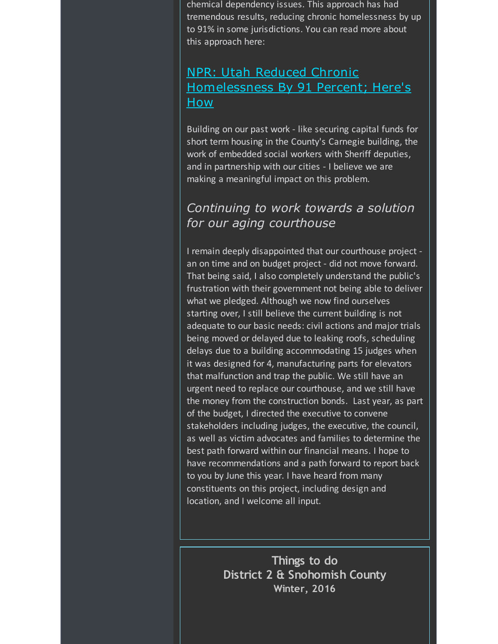chemical dependency issues. This approach has had tremendous results, reducing chronic homelessness by up to 91% in some jurisdictions. You can read more about this approach here:

### NPR: Utah Reduced Chronic [Homelessness](http://r20.rs6.net/tn.jsp?f=0010p0dDXA0TSXmgJCLqu70SZOau5cufAYAXhcMOAfL-fQhBzYllSVKmDq6cPjJMObnLgD89W0bpxQ-v2EbETU5ZhqKWq8-MRTXUZhXlR9TWqywCUQwHVyVMaJftPCztzQ9rkXvKlBu5Qr9GE0k6LuU1syCmxCykGFG6w7WWQsSPZ9zbjjFUwGO2C2qVr1arX5WKV9P5r9coBqUSXUIJ4LHrXjX6kae_w-iuKDg6sjcAxaV_zZ8_X4kRVl1k2AGdZoUZdTfIlc7zkBKt1Ib2YOeB0xqJP1Lc3dXMmzV0vNOSPLbGrmocaxEIG7zgVwhwbVDwbW1Vt590C_gaJzns8Xgd1cizqlwoiQfS2r8pkNvRvGWXerSk5q-8tFoB75K5hbXVaX4zZtUqGM1mLKQSgkz18k0Ax_O_jrLrwWu66uEnvooFoH6nzcrs-KGv1XIH162iAyrE0-DqD4lXb3MZKrWMYSblrJOdAxi_5_ajq2rdOdVF0F0h7cCsR8j8V4h0wZwrqRj_xmBFbXv75aIQhHoy3Uj6cHGQQ3vO-D6j9PMUbFQBRrf7gdIInADJJx12g9JWQ9W_zBf61wA3GhVxXLhWgxee7_QPfxy2Mp1yWTnXzxXfl26kDf7DgmuSxWlH-Pm&c=&ch=) By 91 Percent; Here's How

Building on our past work - like securing capital funds for short term housing in the County's Carnegie building, the work of embedded social workers with Sheriff deputies, and in partnership with our cities - I believe we are making a meaningful impact on this problem.

# *Continuing to work towards a solution for our aging courthouse*

I remain deeply disappointed that our courthouse project an on time and on budget project - did not move forward. That being said, I also completely understand the public's frustration with their government not being able to deliver what we pledged. Although we now find ourselves starting over, I still believe the current building is not adequate to our basic needs: civil actions and major trials being moved or delayed due to leaking roofs, scheduling delays due to a building accommodating 15 judges when it was designed for 4, manufacturing parts for elevators that malfunction and trap the public. We still have an urgent need to replace our courthouse, and we still have the money from the construction bonds. Last year, as part of the budget, I directed the executive to convene stakeholders including judges, the executive, the council, as well as victim advocates and families to determine the best path forward within our financial means. I hope to have recommendations and a path forward to report back to you by June this year. I have heard from many constituents on this project, including design and location, and I welcome all input.

> **Things to do District 2 & Snohomish County Winter, 2016**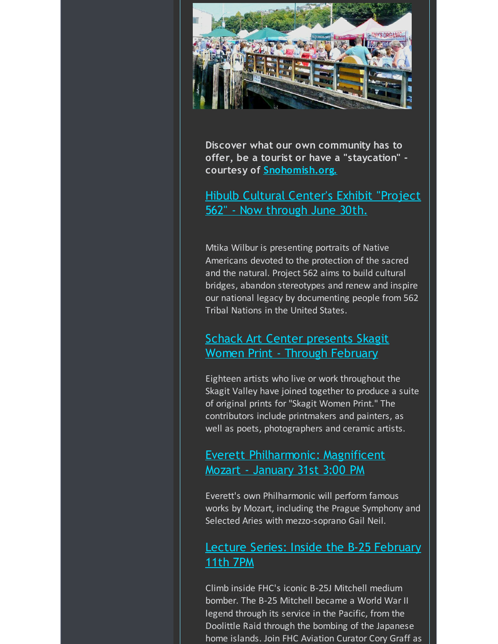

**Discover what our own community has to offer, be a tourist or have a "staycation" courtesy of [Snohomish.org.](http://r20.rs6.net/tn.jsp?f=0010p0dDXA0TSXmgJCLqu70SZOau5cufAYAXhcMOAfL-fQhBzYllSVKmDq6cPjJMObnfM2iQepbQfD1XwygxFVR2C2HSymd13X4WH1-05ASRE-Aj0c6HnW1rR_Qlfdqu6Cwuh85t39UEkhb5dZnjDdNXqYGGLneAMA6ll4rHnpmU_EZ0WAmulGbZRYjKeDPmFKcdR600pczVLqFgeaFpQl9PppuugZgM0H0zlPIhbkCcZGf64WsRmPrzAvKRnJoRXxVrD9PP1ZQnqtVqG2CMWWp1bHOC9y_D41giFvbUy9tLdd9mV8Zk91A6DlEe4_lWGwRkVdyThPZ_Zpg8YZFaFf3hsS_SXzaitld&c=&ch=)**

Hibulb Cultural [Center's](http://r20.rs6.net/tn.jsp?f=0010p0dDXA0TSXmgJCLqu70SZOau5cufAYAXhcMOAfL-fQhBzYllSVKmDq6cPjJMObncxkZwwJaB4yo-odAAz3qLlczUXgeuXwnuH_cgzL4PHO9D2ToAhi92vmHxfOVEpFpIEgOei_xfB9s5-yk6r5GQSR6Lt4a_xaQG0qhHZSVZ2eGfm4PVu5WIIMCXt4BAb3F9TV6-EtuGfz064iPVp-nqpLHAnYJ13HPCBXMjiPm3l0tPTVtzSaGD2mNgjSW2nvWLk8rDKqdBijWKYW1W-yRGmBR9jdclggd_pCNvnvnyv8N49aLwd5ieQ4tgZXaGi3u7EsE-Cmkj5bFAfMlMxu5vQ1Ue4mQmxUDvpl2JAy2584uzu1KfctBUKB-O0BZ6wF4z_yphz5CxyQ=&c=&ch=) Exhibit "Project 562" - Now through June 30th.

Mtika Wilbur is presenting portraits of Native Americans devoted to the protection of the sacred and the natural. Project 562 aims to build cultural bridges, abandon stereotypes and renew and inspire our national legacy by documenting people from 562 Tribal Nations in the United States.

#### Schack Art Center presents Skagit Women Print - Through [February](http://r20.rs6.net/tn.jsp?f=0010p0dDXA0TSXmgJCLqu70SZOau5cufAYAXhcMOAfL-fQhBzYllSVKmDq6cPjJMObnnmoSa8lyyzz7nHWwOW1YzAJQrBgC88kfzAPdgU6tY6hDITBL5ANzGN3rP1alvXG85xo7mxc6-KZJXkdQHH5CImW2CI2nG2tcjM6gvWYAjhs8hC9E1Ts1luhgvgC8VmqQdBlcJ6I3bn2TVTB4lFSj3rPN0epNzaQmD2YGbQQWWTXfWHRAUEG3FiW1XEPjdlqPPlBURZKHBDhqhkRLhDYse2BkWr4Wy1F3X6VGJit3gWMqbtcAK-mVpK8__RRZOjj5HKCVCRkCZ6LHLAxB_cxCrQrfdLVrhnSpvWozhKpDHJUQXAIyjnXCQFedeeOc4Gpc&c=&ch=)

Eighteen artists who live or work throughout the Skagit Valley have joined together to produce a suite of original prints for "Skagit Women Print." The contributors include printmakers and painters, as well as poets, photographers and ceramic artists.

#### Everett [Philharmonic:](http://r20.rs6.net/tn.jsp?f=0010p0dDXA0TSXmgJCLqu70SZOau5cufAYAXhcMOAfL-fQhBzYllSVKmDq6cPjJMObnh4z4pSZg3MrG0F1a7TSvKytBQ9KAaH40ZcePKqLA8g7eovxEEQfrCn4BMaEinmhWwNXeAHE4jmQjv3S06crK8dN42VIQvCRKpFOfdwfVwHrWwNLIdPsha9Kx6wzFtli2TxnQcYZ7pQFKkgoWoiejbtXbqehfb6EYKHFpGqTQLrstuK6f7vOM9yDSZGr3Ax4tg2Y_njVRg1ig-5f2KTdvRH3mCqLCdu5AFcoCuKa-P-TE0uwWGDfilftGF5LpggJMf-IPco5jGxqBeeeSCww4Wxl7ntDEsJMX&c=&ch=) Magnificent Mozart - January 31st 3:00 PM

Everett's own Philharmonic will perform famous works by Mozart, including the Prague Symphony and Selected Aries with mezzo-soprano Gail Neil.

#### Lecture Series: Inside the B-25 [February](http://r20.rs6.net/tn.jsp?f=0010p0dDXA0TSXmgJCLqu70SZOau5cufAYAXhcMOAfL-fQhBzYllSVKmDq6cPjJMObn13WOCzJFVDD9yFzUYMRLPLxlPPij4sCfj1UNl6NTkFYFVPn-he78I1oNwPM_6q81QStpDSZIpHh2m9vGlxUft39prEaOnBzeCUXteH7bubc3F3L-mHymFGR3bZtmYHamJjXV_pauvRw5MQlCrON7ptJITgDtCKpY7LyXmLlnKD9EFDsTo_2Hj6H1yOUOS2I5x-H55l5WCTgqJuzHi8TCS6JDc7dhukCNlK7OBGbO9USPYwyd6CJy0IR8ZVFEwpVB8GLwNRlU7m02taecoeBDWVxmWyDrD_bLgBn69ZNUmn9RiUJRzm5DC6xzNkiM5vPMJF_ZUAFjfEoNl0qXiIbegCqv6DIKUS_0&c=&ch=) 11th 7PM

Climb inside FHC's iconic B-25J Mitchell medium bomber. The B-25 Mitchell became a World War II legend through its service in the Pacific, from the Doolittle Raid through the bombing of the Japanese home islands. Join FHC Aviation Curator Cory Graff as